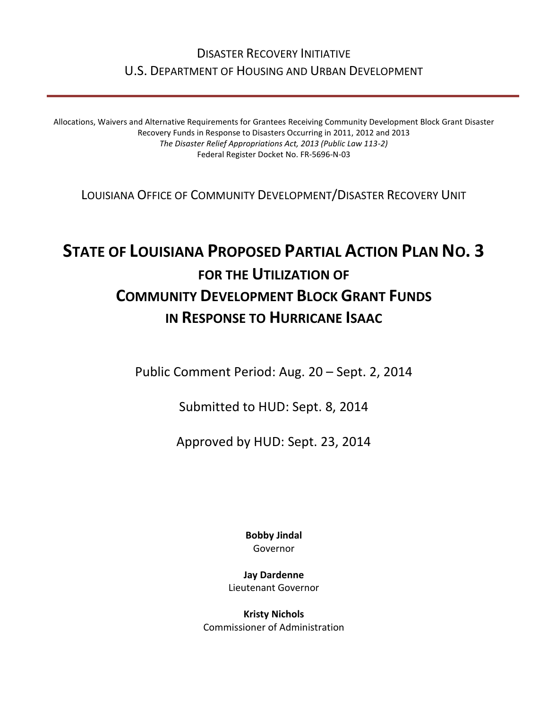## DISASTER RECOVERY INITIATIVE U.S. DEPARTMENT OF HOUSING AND URBAN DEVELOPMENT

Allocations, Waivers and Alternative Requirements for Grantees Receiving Community Development Block Grant Disaster Recovery Funds in Response to Disasters Occurring in 2011, 2012 and 2013 *The Disaster Relief Appropriations Act, 2013 (Public Law 113-2)* Federal Register Docket No. FR-5696-N-03

LOUISIANA OFFICE OF COMMUNITY DEVELOPMENT/DISASTER RECOVERY UNIT

# **STATE OF LOUISIANA PROPOSED PARTIAL ACTION PLAN NO. 3 FOR THE UTILIZATION OF COMMUNITY DEVELOPMENT BLOCK GRANT FUNDS IN RESPONSE TO HURRICANE ISAAC**

Public Comment Period: Aug. 20 – Sept. 2, 2014

Submitted to HUD: Sept. 8, 2014

Approved by HUD: Sept. 23, 2014

**Bobby Jindal** Governor

**Jay Dardenne** Lieutenant Governor

**Kristy Nichols** Commissioner of Administration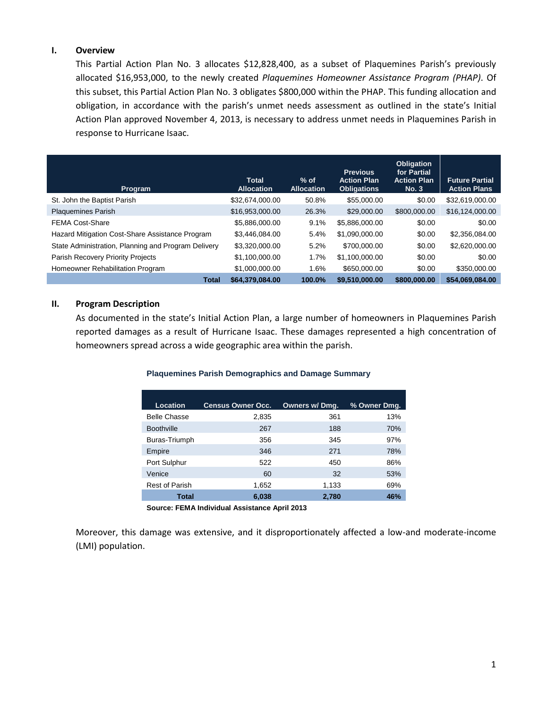## **I. Overview**

This Partial Action Plan No. 3 allocates \$12,828,400, as a subset of Plaquemines Parish's previously allocated \$16,953,000, to the newly created *Plaquemines Homeowner Assistance Program (PHAP)*. Of this subset, this Partial Action Plan No. 3 obligates \$800,000 within the PHAP. This funding allocation and obligation, in accordance with the parish's unmet needs assessment as outlined in the state's Initial Action Plan approved November 4, 2013, is necessary to address unmet needs in Plaquemines Parish in response to Hurricane Isaac.

| Program                                             | <b>Total</b><br><b>Allocation</b> | $%$ of<br><b>Allocation</b> | <b>Previous</b><br><b>Action Plan</b><br><b>Obligations</b> | <b>Obligation</b><br>for Partial<br><b>Action Plan</b><br>No. 3 | <b>Future Partial</b><br><b>Action Plans</b> |
|-----------------------------------------------------|-----------------------------------|-----------------------------|-------------------------------------------------------------|-----------------------------------------------------------------|----------------------------------------------|
| St. John the Baptist Parish                         | \$32,674,000.00                   | 50.8%                       | \$55,000.00                                                 | \$0.00                                                          | \$32,619,000.00                              |
| <b>Plaquemines Parish</b>                           | \$16,953,000.00                   | 26.3%                       | \$29,000,00                                                 | \$800,000.00                                                    | \$16,124,000.00                              |
| <b>FEMA Cost-Share</b>                              | \$5,886,000.00                    | 9.1%                        | \$5,886,000.00                                              | \$0.00                                                          | \$0.00                                       |
| Hazard Mitigation Cost-Share Assistance Program     | \$3.446.084.00                    | 5.4%                        | \$1.090.000.00                                              | \$0.00                                                          | \$2,356,084,00                               |
| State Administration, Planning and Program Delivery | \$3,320,000.00                    | 5.2%                        | \$700,000,00                                                | \$0.00                                                          | \$2,620,000.00                               |
| Parish Recovery Priority Projects                   | \$1,100,000.00                    | 1.7%                        | \$1,100,000.00                                              | \$0.00                                                          | \$0.00                                       |
| Homeowner Rehabilitation Program                    | \$1,000,000,00                    | 1.6%                        | \$650,000,00                                                | \$0.00                                                          | \$350,000.00                                 |
| <b>Total</b>                                        | \$64,379,084.00                   | 100.0%                      | \$9.510.000.00                                              | \$800,000,00                                                    | \$54,069,084.00                              |

## **II. Program Description**

As documented in the state's Initial Action Plan, a large number of homeowners in Plaquemines Parish reported damages as a result of Hurricane Isaac. These damages represented a high concentration of homeowners spread across a wide geographic area within the parish.

## **Plaquemines Parish Demographics and Damage Summary**

| Location              | <b>Census Owner Occ.</b> | Owners w/ Dmg. | % Owner Dmg. |
|-----------------------|--------------------------|----------------|--------------|
| <b>Belle Chasse</b>   | 2,835                    | 361            | 13%          |
| <b>Boothville</b>     | 267                      | 188            | 70%          |
| Buras-Triumph         | 356                      | 345            | 97%          |
| Empire                | 346                      | 271            | 78%          |
| Port Sulphur          | 522                      | 450            | 86%          |
| Venice                | 60                       | 32             | 53%          |
| <b>Rest of Parish</b> | 1,652                    | 1,133          | 69%          |
| Total                 | 6,038                    | 2,780          | 46%          |

**Source: FEMA Individual Assistance April 2013**

Moreover, this damage was extensive, and it disproportionately affected a low-and moderate-income (LMI) population.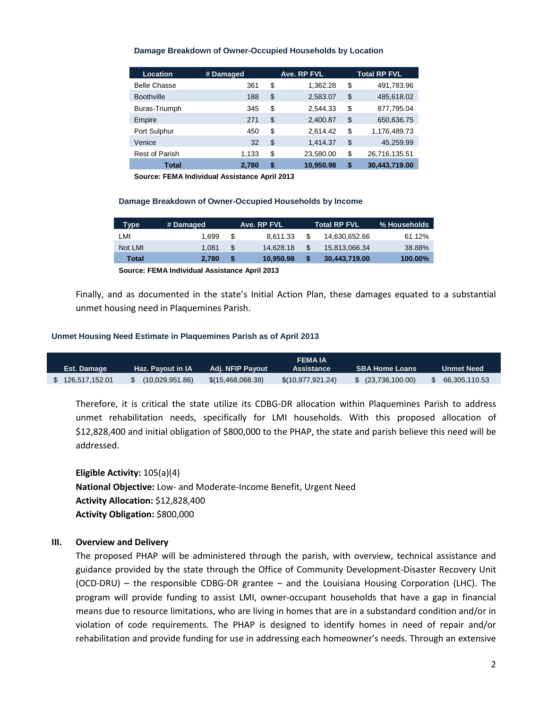#### **Damage Breakdown of Owner-Occupied Households by Location**

| Location              | # Damaged | Ave. RP FVL |           |    | <b>Total RP FVL</b> |  |
|-----------------------|-----------|-------------|-----------|----|---------------------|--|
| <b>Belle Chasse</b>   | 361       | \$          | 1,362.28  | \$ | 491,783.96          |  |
| <b>Boothville</b>     | 188       | \$          | 2,583.07  | \$ | 485,618.02          |  |
| Buras-Triumph         | 345       | \$          | 2,544.33  | \$ | 877,795.04          |  |
| Empire                | 271       | \$          | 2,400.87  | \$ | 650,636.75          |  |
| Port Sulphur          | 450       | \$          | 2,614.42  | \$ | 1,176,489.73        |  |
| Venice                | 32        | \$          | 1,414.37  | \$ | 45,259.99           |  |
| <b>Rest of Parish</b> | 1,133     | \$          | 23,580.00 | \$ | 26,716,135.51       |  |
| Total                 | 2.780     | \$          | 10.950.98 | S  | 30,443,719.00       |  |

**Source: FEMA Individual Assistance April 2013**

#### **Damage Breakdown of Owner-Occupied Households by Income**

| Type    | # Damaged |   | Ave. RP FVL |     | Total RP FVL  | % Households |
|---------|-----------|---|-------------|-----|---------------|--------------|
| LMI     | 1.699     | S | 8.611.33    | \$. | 14.630.652.66 | 61.12%       |
| Not LMI | 1.081     | S | 14.628.18   | S   | 15,813,066.34 | 38.88%       |
| Total   | 2.780     | S | 10.950.98   |     | 30,443,719.00 | 100.00%      |

**Source: FEMA Individual Assistance April 2013**

Finally, and as documented in the state's Initial Action Plan, these damages equated to a substantial unmet housing need in Plaquemines Parish.

### **Unmet Housing Need Estimate in Plaquemines Parish as of April 2013**

| Est. Damage    | . Haz. Pavout in IA' | Adi. NFIP Pavout  | <b>FEMA IA</b><br><b>Assistance</b> | <b>SBA Home Loans</b>  | Unmet Need    |
|----------------|----------------------|-------------------|-------------------------------------|------------------------|---------------|
| 126,517,152.01 | (10,029,951.86)      | \$(15,468,068.38) | \$(10,977,921.24)                   | $$^{(23,736,100.00)}$$ | 66,305,110.53 |

Therefore, it is critical the state utilize its CDBG-DR allocation within Plaquemines Parish to address unmet rehabilitation needs, specifically for LMI households. With this proposed allocation of \$12,828,400 and initial obligation of \$800,000 to the PHAP, the state and parish believe this need will be addressed.

**Eligible Activity:** 105(a)(4) **National Objective:** Low- and Moderate-Income Benefit, Urgent Need **Activity Allocation:** \$12,828,400 **Activity Obligation:** \$800,000

## **III. Overview and Delivery**

The proposed PHAP will be administered through the parish, with overview, technical assistance and guidance provided by the state through the Office of Community Development-Disaster Recovery Unit (OCD-DRU) – the responsible CDBG-DR grantee – and the Louisiana Housing Corporation (LHC). The program will provide funding to assist LMI, owner-occupant households that have a gap in financial means due to resource limitations, who are living in homes that are in a substandard condition and/or in violation of code requirements. The PHAP is designed to identify homes in need of repair and/or rehabilitation and provide funding for use in addressing each homeowner's needs. Through an extensive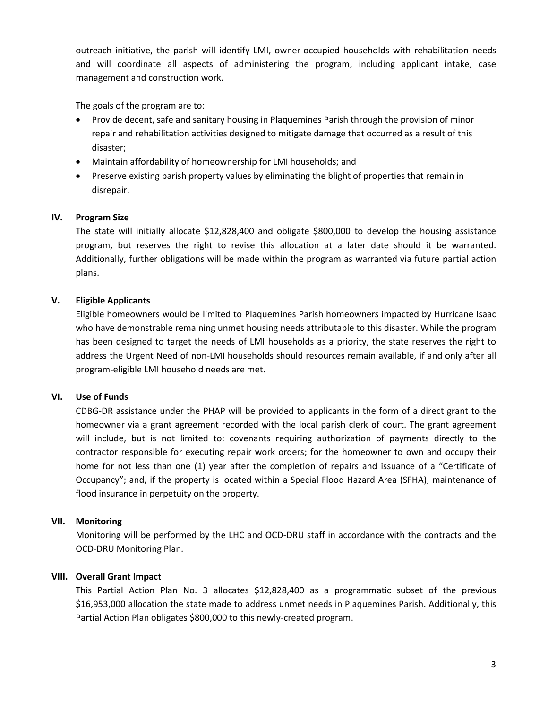outreach initiative, the parish will identify LMI, owner-occupied households with rehabilitation needs and will coordinate all aspects of administering the program, including applicant intake, case management and construction work.

The goals of the program are to:

- Provide decent, safe and sanitary housing in Plaquemines Parish through the provision of minor repair and rehabilitation activities designed to mitigate damage that occurred as a result of this disaster;
- Maintain affordability of homeownership for LMI households; and
- Preserve existing parish property values by eliminating the blight of properties that remain in disrepair.

## **IV. Program Size**

The state will initially allocate \$12,828,400 and obligate \$800,000 to develop the housing assistance program, but reserves the right to revise this allocation at a later date should it be warranted. Additionally, further obligations will be made within the program as warranted via future partial action plans.

## **V. Eligible Applicants**

Eligible homeowners would be limited to Plaquemines Parish homeowners impacted by Hurricane Isaac who have demonstrable remaining unmet housing needs attributable to this disaster. While the program has been designed to target the needs of LMI households as a priority, the state reserves the right to address the Urgent Need of non-LMI households should resources remain available, if and only after all program-eligible LMI household needs are met.

## **VI. Use of Funds**

CDBG-DR assistance under the PHAP will be provided to applicants in the form of a direct grant to the homeowner via a grant agreement recorded with the local parish clerk of court. The grant agreement will include, but is not limited to: covenants requiring authorization of payments directly to the contractor responsible for executing repair work orders; for the homeowner to own and occupy their home for not less than one (1) year after the completion of repairs and issuance of a "Certificate of Occupancy"; and, if the property is located within a Special Flood Hazard Area (SFHA), maintenance of flood insurance in perpetuity on the property.

## **VII. Monitoring**

Monitoring will be performed by the LHC and OCD-DRU staff in accordance with the contracts and the OCD-DRU Monitoring Plan.

## **VIII. Overall Grant Impact**

This Partial Action Plan No. 3 allocates \$12,828,400 as a programmatic subset of the previous \$16,953,000 allocation the state made to address unmet needs in Plaquemines Parish. Additionally, this Partial Action Plan obligates \$800,000 to this newly-created program.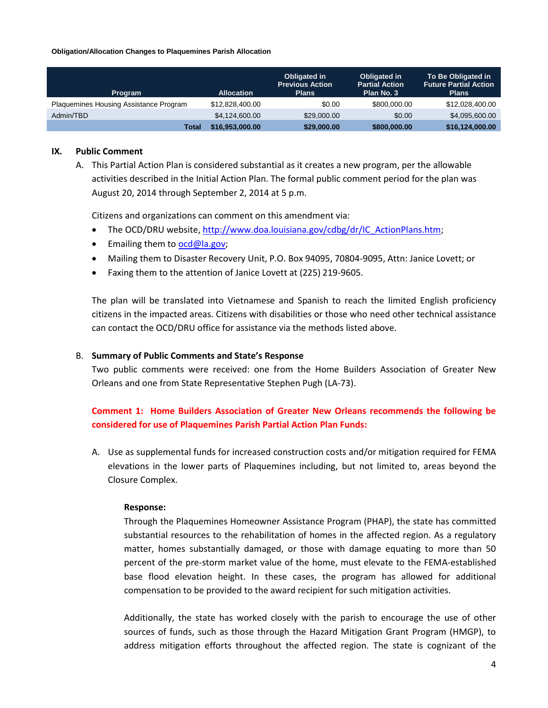#### **Obligation/Allocation Changes to Plaquemines Parish Allocation**

| <b>Program</b>                         | <b>Allocation</b> | Obligated in<br><b>Previous Action</b><br><b>Plans</b> | <b>Obligated in</b><br><b>Partial Action</b><br>Plan No. 3 | To Be Obligated in<br><b>Future Partial Action</b><br><b>Plans</b> |
|----------------------------------------|-------------------|--------------------------------------------------------|------------------------------------------------------------|--------------------------------------------------------------------|
| Plaquemines Housing Assistance Program | \$12,828,400,00   | \$0.00                                                 | \$800,000,00                                               | \$12,028,400,00                                                    |
| Admin/TBD                              | \$4,124,600,00    | \$29,000,00                                            | \$0.00                                                     | \$4,095,600,00                                                     |
| Total                                  | \$16,953,000.00   | \$29,000.00                                            | \$800,000.00                                               | \$16,124,000.00                                                    |

## **IX. Public Comment**

A. This Partial Action Plan is considered substantial as it creates a new program, per the allowable activities described in the Initial Action Plan. The formal public comment period for the plan was August 20, 2014 through September 2, 2014 at 5 p.m.

Citizens and organizations can comment on this amendment via:

- The OCD/DRU website[, http://www.doa.louisiana.gov/cdbg/dr/IC\\_ActionPlans.htm;](http://www.doa.louisiana.gov/cdbg/dr/IC_ActionPlans.htm)
- **Emailing them to [ocd@la.gov;](mailto:ocd@la.gov)**
- Mailing them to Disaster Recovery Unit, P.O. Box 94095, 70804-9095, Attn: Janice Lovett; or
- Faxing them to the attention of Janice Lovett at (225) 219-9605.

The plan will be translated into Vietnamese and Spanish to reach the limited English proficiency citizens in the impacted areas. Citizens with disabilities or those who need other technical assistance can contact the OCD/DRU office for assistance via the methods listed above.

## B. **Summary of Public Comments and State's Response**

Two public comments were received: one from the Home Builders Association of Greater New Orleans and one from State Representative Stephen Pugh (LA-73).

## **Comment 1: Home Builders Association of Greater New Orleans recommends the following be considered for use of Plaquemines Parish Partial Action Plan Funds:**

A. Use as supplemental funds for increased construction costs and/or mitigation required for FEMA elevations in the lower parts of Plaquemines including, but not limited to, areas beyond the Closure Complex.

## **Response:**

Through the Plaquemines Homeowner Assistance Program (PHAP), the state has committed substantial resources to the rehabilitation of homes in the affected region. As a regulatory matter, homes substantially damaged, or those with damage equating to more than 50 percent of the pre-storm market value of the home, must elevate to the FEMA-established base flood elevation height. In these cases, the program has allowed for additional compensation to be provided to the award recipient for such mitigation activities.

Additionally, the state has worked closely with the parish to encourage the use of other sources of funds, such as those through the Hazard Mitigation Grant Program (HMGP), to address mitigation efforts throughout the affected region. The state is cognizant of the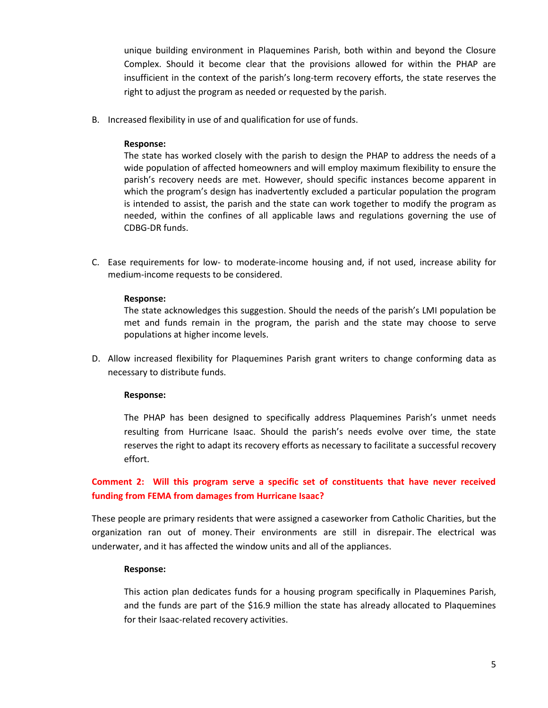unique building environment in Plaquemines Parish, both within and beyond the Closure Complex. Should it become clear that the provisions allowed for within the PHAP are insufficient in the context of the parish's long-term recovery efforts, the state reserves the right to adjust the program as needed or requested by the parish.

B. Increased flexibility in use of and qualification for use of funds.

## **Response:**

The state has worked closely with the parish to design the PHAP to address the needs of a wide population of affected homeowners and will employ maximum flexibility to ensure the parish's recovery needs are met. However, should specific instances become apparent in which the program's design has inadvertently excluded a particular population the program is intended to assist, the parish and the state can work together to modify the program as needed, within the confines of all applicable laws and regulations governing the use of CDBG-DR funds.

C. Ease requirements for low- to moderate-income housing and, if not used, increase ability for medium-income requests to be considered.

## **Response:**

The state acknowledges this suggestion. Should the needs of the parish's LMI population be met and funds remain in the program, the parish and the state may choose to serve populations at higher income levels.

D. Allow increased flexibility for Plaquemines Parish grant writers to change conforming data as necessary to distribute funds.

## **Response:**

The PHAP has been designed to specifically address Plaquemines Parish's unmet needs resulting from Hurricane Isaac. Should the parish's needs evolve over time, the state reserves the right to adapt its recovery efforts as necessary to facilitate a successful recovery effort.

**Comment 2: Will this program serve a specific set of constituents that have never received funding from FEMA from damages from Hurricane Isaac?**

These people are primary residents that were assigned a caseworker from Catholic Charities, but the organization ran out of money. Their environments are still in disrepair. The electrical was underwater, and it has affected the window units and all of the appliances.

## **Response:**

This action plan dedicates funds for a housing program specifically in Plaquemines Parish, and the funds are part of the \$16.9 million the state has already allocated to Plaquemines for their Isaac-related recovery activities.